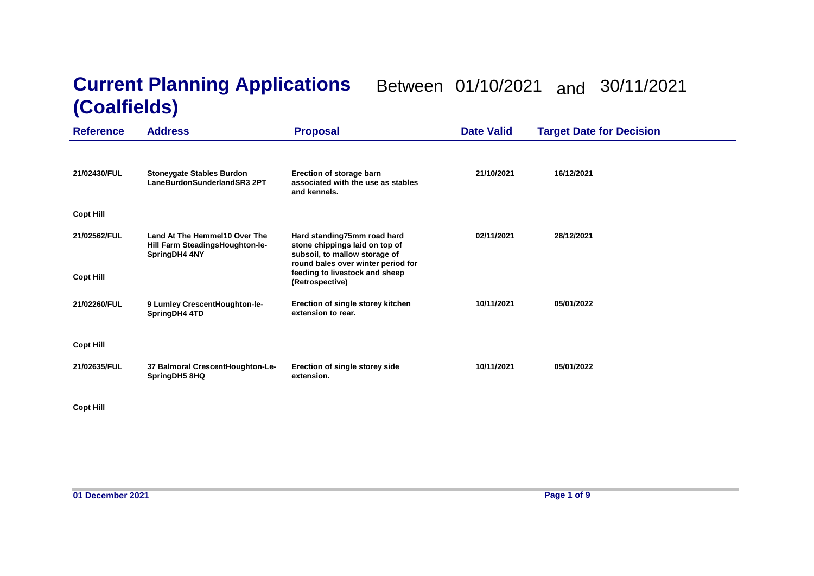## **Current Planning Applications**  Between 01/10/2021 and 30/11/2021 **(Coalfields)**

| <b>Reference</b>                 | <b>Address</b>                                                                    | <b>Proposal</b>                                                                                                                                                                           | <b>Date Valid</b> | <b>Target Date for Decision</b> |
|----------------------------------|-----------------------------------------------------------------------------------|-------------------------------------------------------------------------------------------------------------------------------------------------------------------------------------------|-------------------|---------------------------------|
| 21/02430/FUL                     | <b>Stoneygate Stables Burdon</b><br>LaneBurdonSunderlandSR3 2PT                   | Erection of storage barn<br>associated with the use as stables<br>and kennels.                                                                                                            | 21/10/2021        | 16/12/2021                      |
| <b>Copt Hill</b>                 |                                                                                   |                                                                                                                                                                                           |                   |                                 |
| 21/02562/FUL<br><b>Copt Hill</b> | Land At The Hemmel10 Over The<br>Hill Farm SteadingsHoughton-le-<br>SpringDH4 4NY | Hard standing75mm road hard<br>stone chippings laid on top of<br>subsoil, to mallow storage of<br>round bales over winter period for<br>feeding to livestock and sheep<br>(Retrospective) | 02/11/2021        | 28/12/2021                      |
| 21/02260/FUL                     | 9 Lumley CrescentHoughton-le-<br>SpringDH4 4TD                                    | Erection of single storey kitchen<br>extension to rear.                                                                                                                                   | 10/11/2021        | 05/01/2022                      |
| <b>Copt Hill</b>                 |                                                                                   |                                                                                                                                                                                           |                   |                                 |
| 21/02635/FUL                     | 37 Balmoral CrescentHoughton-Le-<br>SpringDH5 8HQ                                 | Erection of single storey side<br>extension.                                                                                                                                              | 10/11/2021        | 05/01/2022                      |

**Copt Hill**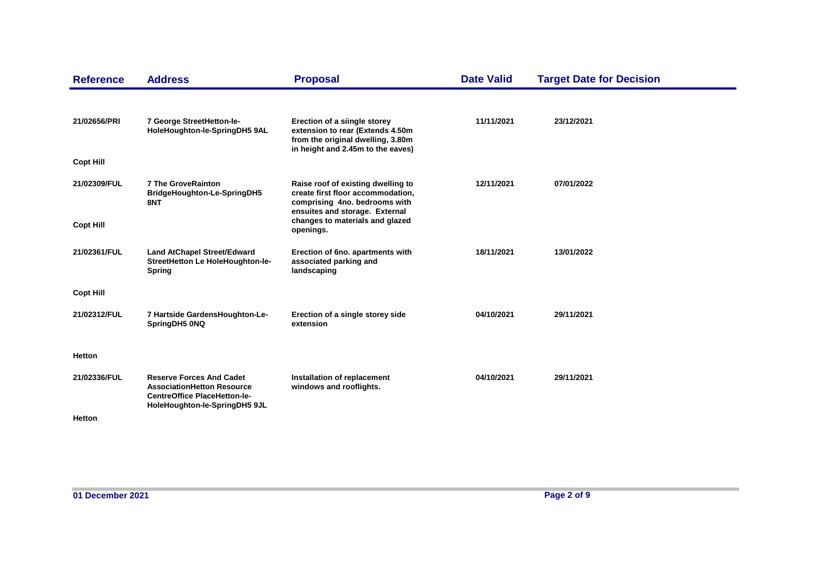| <b>Reference</b> | <b>Address</b>                                                                                                                               | <b>Proposal</b>                                                                                                                            | <b>Date Valid</b> | <b>Target Date for Decision</b> |
|------------------|----------------------------------------------------------------------------------------------------------------------------------------------|--------------------------------------------------------------------------------------------------------------------------------------------|-------------------|---------------------------------|
| 21/02656/PRI     | 7 George StreetHetton-le-<br>HoleHoughton-le-SpringDH5 9AL                                                                                   | Erection of a siingle storey<br>extension to rear (Extends 4.50m<br>from the original dwelling, 3.80m<br>in height and 2.45m to the eaves) | 11/11/2021        | 23/12/2021                      |
| <b>Copt Hill</b> |                                                                                                                                              |                                                                                                                                            |                   |                                 |
| 21/02309/FUL     | <b>7 The GroveRainton</b><br>BridgeHoughton-Le-SpringDH5<br>8NT                                                                              | Raise roof of existing dwelling to<br>create first floor accommodation,<br>comprising 4no. bedrooms with<br>ensuites and storage. External | 12/11/2021        | 07/01/2022                      |
| <b>Copt Hill</b> |                                                                                                                                              | changes to materials and glazed<br>openings.                                                                                               |                   |                                 |
| 21/02361/FUL     | <b>Land AtChapel Street/Edward</b><br>StreetHetton Le HoleHoughton-le-<br><b>Spring</b>                                                      | Erection of 6no. apartments with<br>associated parking and<br>landscaping                                                                  | 18/11/2021        | 13/01/2022                      |
| <b>Copt Hill</b> |                                                                                                                                              |                                                                                                                                            |                   |                                 |
| 21/02312/FUL     | 7 Hartside GardensHoughton-Le-<br>SpringDH5 0NQ                                                                                              | Erection of a single storey side<br>extension                                                                                              | 04/10/2021        | 29/11/2021                      |
| <b>Hetton</b>    |                                                                                                                                              |                                                                                                                                            |                   |                                 |
| 21/02336/FUL     | <b>Reserve Forces And Cadet</b><br><b>AssociationHetton Resource</b><br><b>CentreOffice PlaceHetton-le-</b><br>HoleHoughton-le-SpringDH5 9JL | Installation of replacement<br>windows and rooflights.                                                                                     | 04/10/2021        | 29/11/2021                      |
| Hetton           |                                                                                                                                              |                                                                                                                                            |                   |                                 |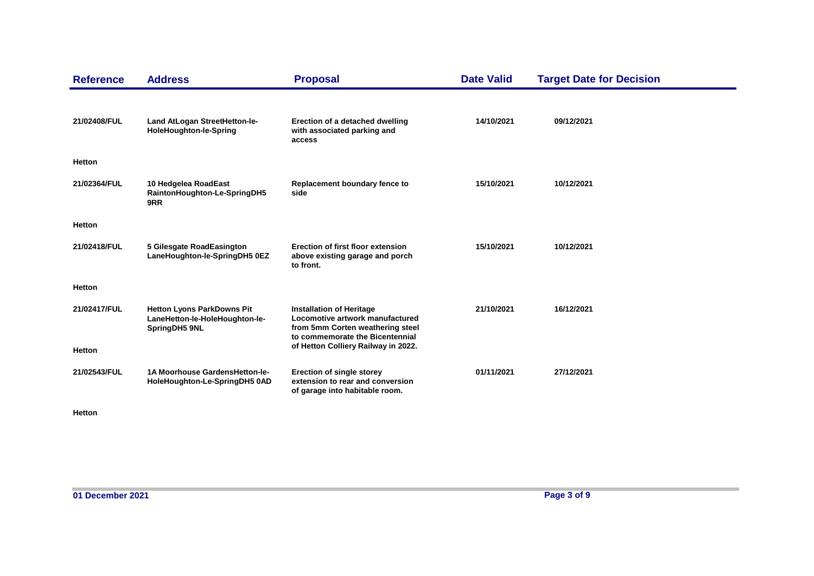| <b>Reference</b> | <b>Address</b>                                                                       | <b>Proposal</b>                                                                                                                           | <b>Date Valid</b> | <b>Target Date for Decision</b> |
|------------------|--------------------------------------------------------------------------------------|-------------------------------------------------------------------------------------------------------------------------------------------|-------------------|---------------------------------|
| 21/02408/FUL     | Land AtLogan StreetHetton-le-<br>HoleHoughton-le-Spring                              | Erection of a detached dwelling<br>with associated parking and<br>access                                                                  | 14/10/2021        | 09/12/2021                      |
| <b>Hetton</b>    |                                                                                      |                                                                                                                                           |                   |                                 |
| 21/02364/FUL     | 10 Hedgelea RoadEast<br>RaintonHoughton-Le-SpringDH5<br>9RR                          | Replacement boundary fence to<br>side                                                                                                     | 15/10/2021        | 10/12/2021                      |
| <b>Hetton</b>    |                                                                                      |                                                                                                                                           |                   |                                 |
| 21/02418/FUL     | 5 Gilesgate RoadEasington<br>LaneHoughton-le-SpringDH5 0EZ                           | Erection of first floor extension<br>above existing garage and porch<br>to front.                                                         | 15/10/2021        | 10/12/2021                      |
| <b>Hetton</b>    |                                                                                      |                                                                                                                                           |                   |                                 |
| 21/02417/FUL     | <b>Hetton Lyons ParkDowns Pit</b><br>LaneHetton-le-HoleHoughton-le-<br>SpringDH5 9NL | <b>Installation of Heritage</b><br>Locomotive artwork manufactured<br>from 5mm Corten weathering steel<br>to commemorate the Bicentennial | 21/10/2021        | 16/12/2021                      |
| Hetton           |                                                                                      | of Hetton Colliery Railway in 2022.                                                                                                       |                   |                                 |
| 21/02543/FUL     | 1A Moorhouse GardensHetton-le-<br>HoleHoughton-Le-SpringDH5 0AD                      | <b>Erection of single storey</b><br>extension to rear and conversion<br>of garage into habitable room.                                    | 01/11/2021        | 27/12/2021                      |

**Hetton**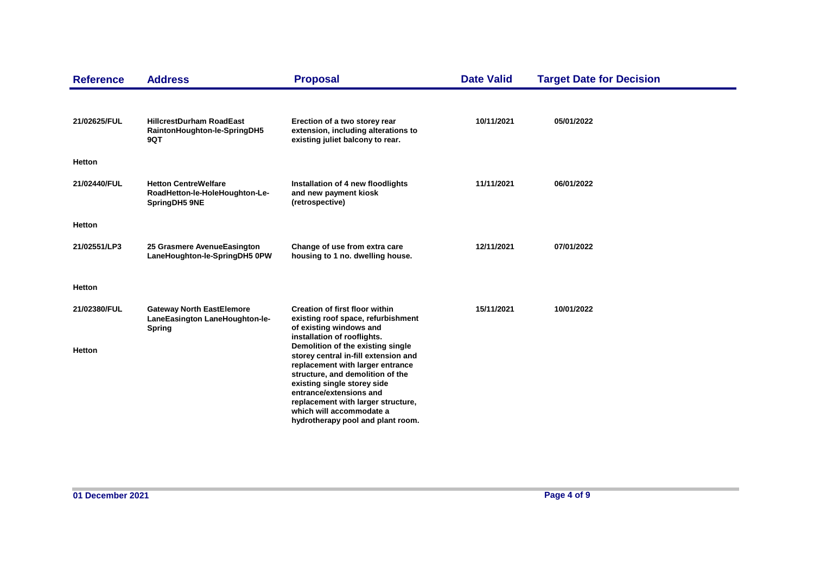| <b>Reference</b>              | <b>Address</b>                                                                      | <b>Proposal</b>                                                                                                                                                                                                                                                                                                                                                                                                                                             | <b>Date Valid</b> | <b>Target Date for Decision</b> |
|-------------------------------|-------------------------------------------------------------------------------------|-------------------------------------------------------------------------------------------------------------------------------------------------------------------------------------------------------------------------------------------------------------------------------------------------------------------------------------------------------------------------------------------------------------------------------------------------------------|-------------------|---------------------------------|
| 21/02625/FUL                  | <b>HillcrestDurham RoadEast</b><br>RaintonHoughton-le-SpringDH5<br>9QT              | Erection of a two storey rear<br>extension, including alterations to<br>existing juliet balcony to rear.                                                                                                                                                                                                                                                                                                                                                    | 10/11/2021        | 05/01/2022                      |
| <b>Hetton</b>                 |                                                                                     |                                                                                                                                                                                                                                                                                                                                                                                                                                                             |                   |                                 |
| 21/02440/FUL                  | <b>Hetton CentreWelfare</b><br>RoadHetton-le-HoleHoughton-Le-<br>SpringDH5 9NE      | Installation of 4 new floodlights<br>and new payment kiosk<br>(retrospective)                                                                                                                                                                                                                                                                                                                                                                               | 11/11/2021        | 06/01/2022                      |
| <b>Hetton</b>                 |                                                                                     |                                                                                                                                                                                                                                                                                                                                                                                                                                                             |                   |                                 |
| 21/02551/LP3                  | 25 Grasmere AvenueEasington<br>LaneHoughton-le-SpringDH5 0PW                        | Change of use from extra care<br>housing to 1 no. dwelling house.                                                                                                                                                                                                                                                                                                                                                                                           | 12/11/2021        | 07/01/2022                      |
| <b>Hetton</b>                 |                                                                                     |                                                                                                                                                                                                                                                                                                                                                                                                                                                             |                   |                                 |
| 21/02380/FUL<br><b>Hetton</b> | <b>Gateway North EastElemore</b><br>LaneEasington LaneHoughton-le-<br><b>Spring</b> | <b>Creation of first floor within</b><br>existing roof space, refurbishment<br>of existing windows and<br>installation of rooflights.<br>Demolition of the existing single<br>storey central in-fill extension and<br>replacement with larger entrance<br>structure, and demolition of the<br>existing single storey side<br>entrance/extensions and<br>replacement with larger structure,<br>which will accommodate a<br>hydrotherapy pool and plant room. | 15/11/2021        | 10/01/2022                      |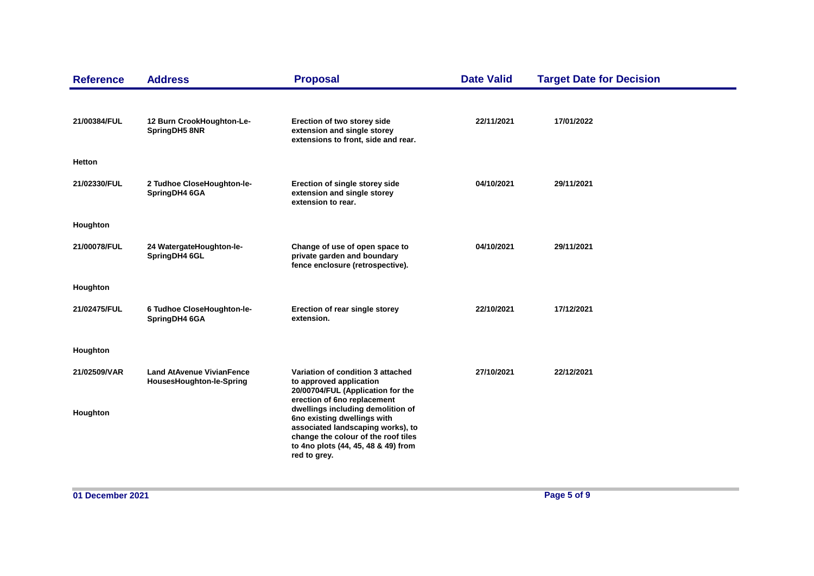| <b>Reference</b>         | <b>Address</b>                                               | <b>Proposal</b>                                                                                                                                                                                                                           | <b>Date Valid</b> | <b>Target Date for Decision</b> |
|--------------------------|--------------------------------------------------------------|-------------------------------------------------------------------------------------------------------------------------------------------------------------------------------------------------------------------------------------------|-------------------|---------------------------------|
| 21/00384/FUL             | 12 Burn CrookHoughton-Le-<br>SpringDH5 8NR                   | Erection of two storey side<br>extension and single storey<br>extensions to front, side and rear.                                                                                                                                         | 22/11/2021        | 17/01/2022                      |
| Hetton                   |                                                              |                                                                                                                                                                                                                                           |                   |                                 |
| 21/02330/FUL             | 2 Tudhoe CloseHoughton-le-<br>SpringDH4 6GA                  | Erection of single storey side<br>extension and single storey<br>extension to rear.                                                                                                                                                       | 04/10/2021        | 29/11/2021                      |
| Houghton                 |                                                              |                                                                                                                                                                                                                                           |                   |                                 |
| 21/00078/FUL             | 24 WatergateHoughton-le-<br>SpringDH4 6GL                    | Change of use of open space to<br>private garden and boundary<br>fence enclosure (retrospective).                                                                                                                                         | 04/10/2021        | 29/11/2021                      |
| Houghton                 |                                                              |                                                                                                                                                                                                                                           |                   |                                 |
| 21/02475/FUL             | 6 Tudhoe CloseHoughton-le-<br>SpringDH4 6GA                  | Erection of rear single storey<br>extension.                                                                                                                                                                                              | 22/10/2021        | 17/12/2021                      |
| Houghton                 |                                                              |                                                                                                                                                                                                                                           |                   |                                 |
| 21/02509/VAR<br>Houghton | <b>Land AtAvenue VivianFence</b><br>HousesHoughton-le-Spring | Variation of condition 3 attached<br>to approved application<br>20/00704/FUL (Application for the<br>erection of 6no replacement<br>dwellings including demolition of<br>6no existing dwellings with<br>associated landscaping works), to | 27/10/2021        | 22/12/2021                      |
|                          |                                                              | change the colour of the roof tiles<br>to 4no plots (44, 45, 48 & 49) from<br>red to grey.                                                                                                                                                |                   |                                 |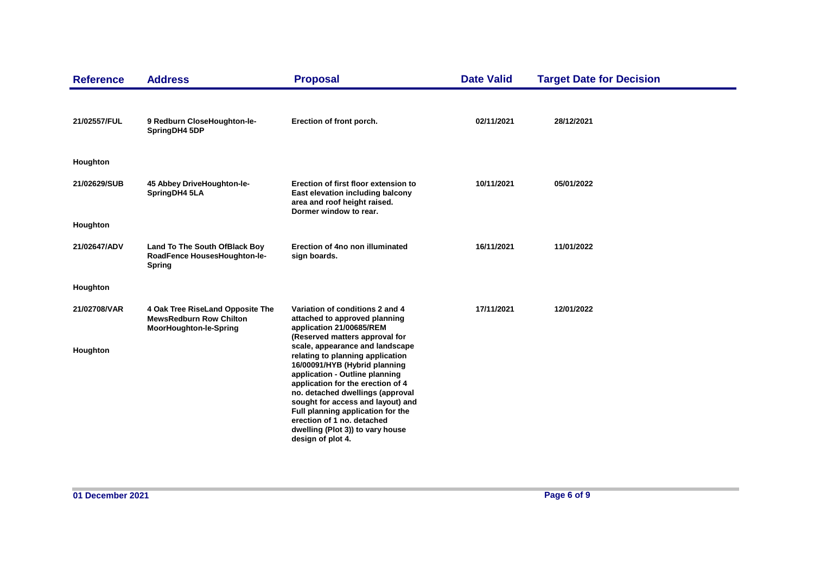| <b>Reference</b> | <b>Address</b>                                                                                      | <b>Proposal</b>                                                                                                                                                                                                                                                                                                                                                                  | <b>Date Valid</b> | <b>Target Date for Decision</b> |
|------------------|-----------------------------------------------------------------------------------------------------|----------------------------------------------------------------------------------------------------------------------------------------------------------------------------------------------------------------------------------------------------------------------------------------------------------------------------------------------------------------------------------|-------------------|---------------------------------|
| 21/02557/FUL     | 9 Redburn CloseHoughton-le-<br>SpringDH4 5DP                                                        | Erection of front porch.                                                                                                                                                                                                                                                                                                                                                         | 02/11/2021        | 28/12/2021                      |
| Houghton         |                                                                                                     |                                                                                                                                                                                                                                                                                                                                                                                  |                   |                                 |
| 21/02629/SUB     | 45 Abbey DriveHoughton-le-<br>SpringDH4 5LA                                                         | Erection of first floor extension to<br>East elevation including balcony<br>area and roof height raised.<br>Dormer window to rear.                                                                                                                                                                                                                                               | 10/11/2021        | 05/01/2022                      |
| Houghton         |                                                                                                     |                                                                                                                                                                                                                                                                                                                                                                                  |                   |                                 |
| 21/02647/ADV     | Land To The South OfBlack Boy<br>RoadFence HousesHoughton-le-<br><b>Spring</b>                      | Erection of 4no non illuminated<br>sign boards.                                                                                                                                                                                                                                                                                                                                  | 16/11/2021        | 11/01/2022                      |
| Houghton         |                                                                                                     |                                                                                                                                                                                                                                                                                                                                                                                  |                   |                                 |
| 21/02708/VAR     | 4 Oak Tree RiseLand Opposite The<br><b>MewsRedburn Row Chilton</b><br><b>MoorHoughton-le-Spring</b> | Variation of conditions 2 and 4<br>attached to approved planning<br>application 21/00685/REM<br>(Reserved matters approval for                                                                                                                                                                                                                                                   | 17/11/2021        | 12/01/2022                      |
| Houghton         |                                                                                                     | scale, appearance and landscape<br>relating to planning application<br>16/00091/HYB (Hybrid planning<br>application - Outline planning<br>application for the erection of 4<br>no. detached dwellings (approval<br>sought for access and layout) and<br>Full planning application for the<br>erection of 1 no. detached<br>dwelling (Plot 3)) to vary house<br>design of plot 4. |                   |                                 |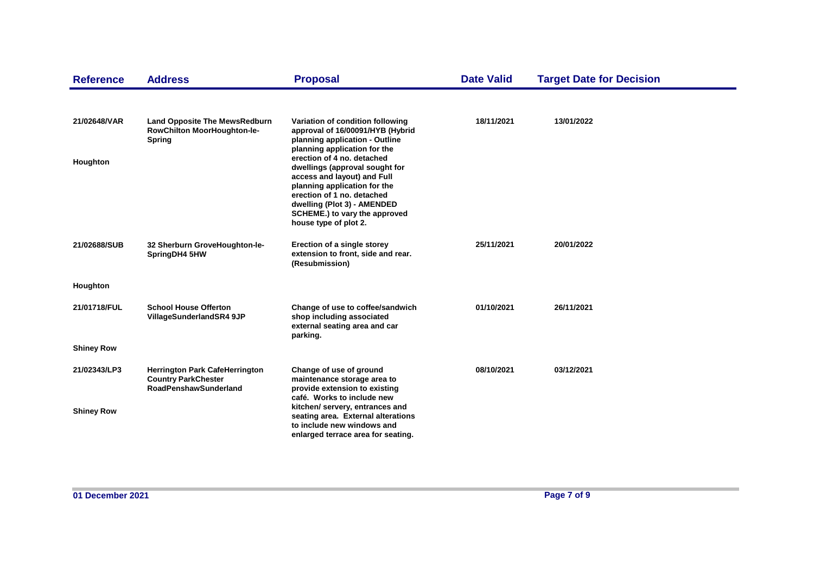| <b>Reference</b>  | <b>Address</b>                                                                                      | <b>Proposal</b>                                                                                                                                                                                                                                    | <b>Date Valid</b> | <b>Target Date for Decision</b> |  |
|-------------------|-----------------------------------------------------------------------------------------------------|----------------------------------------------------------------------------------------------------------------------------------------------------------------------------------------------------------------------------------------------------|-------------------|---------------------------------|--|
|                   |                                                                                                     |                                                                                                                                                                                                                                                    |                   |                                 |  |
| 21/02648/VAR      | <b>Land Opposite The MewsRedburn</b><br>RowChilton MoorHoughton-le-<br><b>Spring</b>                | Variation of condition following<br>approval of 16/00091/HYB (Hybrid<br>planning application - Outline<br>planning application for the                                                                                                             | 18/11/2021        | 13/01/2022                      |  |
| Houghton          |                                                                                                     | erection of 4 no. detached<br>dwellings (approval sought for<br>access and layout) and Full<br>planning application for the<br>erection of 1 no. detached<br>dwelling (Plot 3) - AMENDED<br>SCHEME.) to vary the approved<br>house type of plot 2. |                   |                                 |  |
| 21/02688/SUB      | 32 Sherburn GroveHoughton-le-<br>SpringDH4 5HW                                                      | Erection of a single storey<br>extension to front, side and rear.<br>(Resubmission)                                                                                                                                                                | 25/11/2021        | 20/01/2022                      |  |
| Houghton          |                                                                                                     |                                                                                                                                                                                                                                                    |                   |                                 |  |
| 21/01718/FUL      | <b>School House Offerton</b><br>VillageSunderlandSR4 9JP                                            | Change of use to coffee/sandwich<br>shop including associated<br>external seating area and car<br>parking.                                                                                                                                         | 01/10/2021        | 26/11/2021                      |  |
| <b>Shiney Row</b> |                                                                                                     |                                                                                                                                                                                                                                                    |                   |                                 |  |
| 21/02343/LP3      | <b>Herrington Park CafeHerrington</b><br><b>Country ParkChester</b><br><b>RoadPenshawSunderland</b> | Change of use of ground<br>maintenance storage area to<br>provide extension to existing<br>café. Works to include new                                                                                                                              | 08/10/2021        | 03/12/2021                      |  |
| <b>Shiney Row</b> |                                                                                                     | kitchen/ servery, entrances and<br>seating area. External alterations<br>to include new windows and<br>enlarged terrace area for seating.                                                                                                          |                   |                                 |  |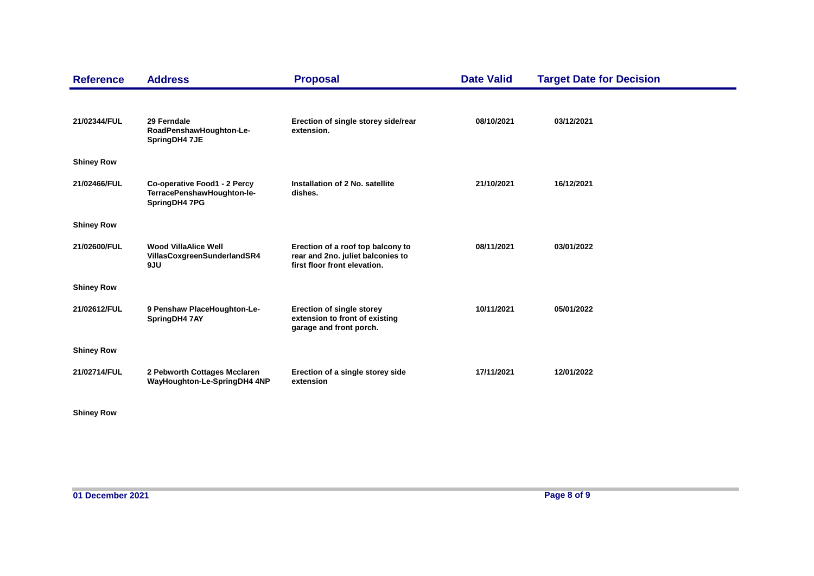| <b>Reference</b>  | <b>Address</b>                                                              | <b>Proposal</b>                                                                                        | <b>Date Valid</b> | <b>Target Date for Decision</b> |
|-------------------|-----------------------------------------------------------------------------|--------------------------------------------------------------------------------------------------------|-------------------|---------------------------------|
| 21/02344/FUL      | 29 Ferndale<br>RoadPenshawHoughton-Le-<br>SpringDH4 7JE                     | Erection of single storey side/rear<br>extension.                                                      | 08/10/2021        | 03/12/2021                      |
| <b>Shiney Row</b> |                                                                             |                                                                                                        |                   |                                 |
| 21/02466/FUL      | Co-operative Food1 - 2 Percy<br>TerracePenshawHoughton-le-<br>SpringDH4 7PG | Installation of 2 No. satellite<br>dishes.                                                             | 21/10/2021        | 16/12/2021                      |
| <b>Shiney Row</b> |                                                                             |                                                                                                        |                   |                                 |
| 21/02600/FUL      | <b>Wood VillaAlice Well</b><br>VillasCoxgreenSunderlandSR4<br>9JU           | Erection of a roof top balcony to<br>rear and 2no. juliet balconies to<br>first floor front elevation. | 08/11/2021        | 03/01/2022                      |
| <b>Shiney Row</b> |                                                                             |                                                                                                        |                   |                                 |
| 21/02612/FUL      | 9 Penshaw PlaceHoughton-Le-<br>SpringDH4 7AY                                | <b>Erection of single storey</b><br>extension to front of existing<br>garage and front porch.          | 10/11/2021        | 05/01/2022                      |
| <b>Shiney Row</b> |                                                                             |                                                                                                        |                   |                                 |
| 21/02714/FUL      | 2 Pebworth Cottages Mcclaren<br>WayHoughton-Le-SpringDH4 4NP                | Erection of a single storey side<br>extension                                                          | 17/11/2021        | 12/01/2022                      |

**Shiney Row**